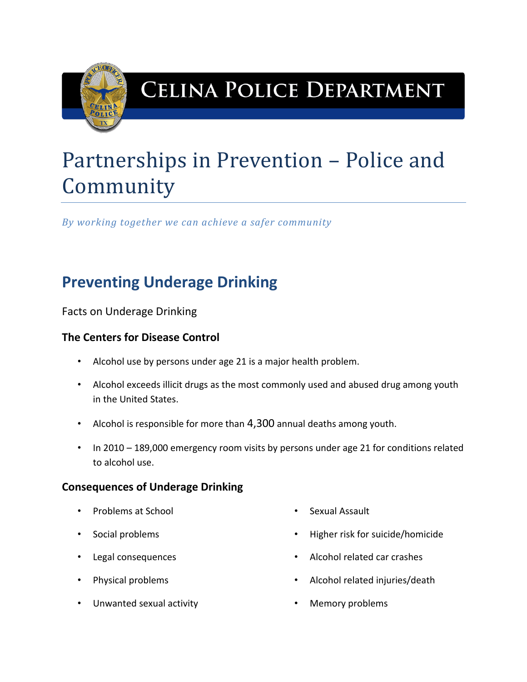

## **CELINA POLICE DEPARTMENT**

# Partnerships in Prevention – Police and Community

*By working together we can achieve a safer community*

## **Preventing Underage Drinking**

Facts on Underage Drinking

#### **The Centers for Disease Control**

- Alcohol use by persons under age 21 is a major health problem.
- Alcohol exceeds illicit drugs as the most commonly used and abused drug among youth in the United States.
- Alcohol is responsible for more than 4,300 annual deaths among youth.
- In 2010 189,000 emergency room visits by persons under age 21 for conditions related to alcohol use.

#### **Consequences of Underage Drinking**

- Problems at School
- Social problems
- Legal consequences
- Physical problems
- Unwanted sexual activity
- Sexual Assault
- Higher risk for suicide/homicide
- Alcohol related car crashes
- Alcohol related injuries/death
- Memory problems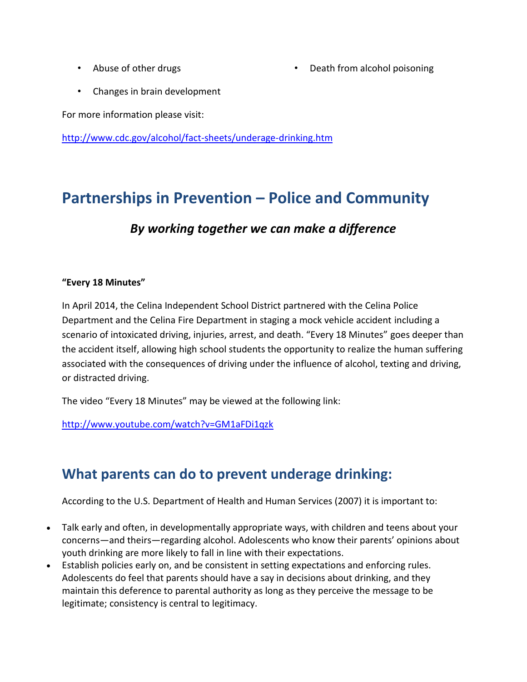• Abuse of other drugs

• Death from alcohol poisoning

• Changes in brain development

For more information please visit:

<http://www.cdc.gov/alcohol/fact-sheets/underage-drinking.htm>

### **Partnerships in Prevention – Police and Community**

#### *By working together we can make a difference*

#### **"Every 18 Minutes"**

In April 2014, the Celina Independent School District partnered with the Celina Police Department and the Celina Fire Department in staging a mock vehicle accident including a scenario of intoxicated driving, injuries, arrest, and death. "Every 18 Minutes" goes deeper than the accident itself, allowing high school students the opportunity to realize the human suffering associated with the consequences of driving under the influence of alcohol, texting and driving, or distracted driving.

The video "Every 18 Minutes" may be viewed at the following link:

<http://www.youtube.com/watch?v=GM1aFDi1qzk>

#### **What parents can do to prevent underage drinking:**

According to the U.S. Department of Health and Human Services (2007) it is important to:

- Talk early and often, in developmentally appropriate ways, with children and teens about your concerns—and theirs—regarding alcohol. Adolescents who know their parents' opinions about youth drinking are more likely to fall in line with their expectations.
- Establish policies early on, and be consistent in setting expectations and enforcing rules. Adolescents do feel that parents should have a say in decisions about drinking, and they maintain this deference to parental authority as long as they perceive the message to be legitimate; consistency is central to legitimacy.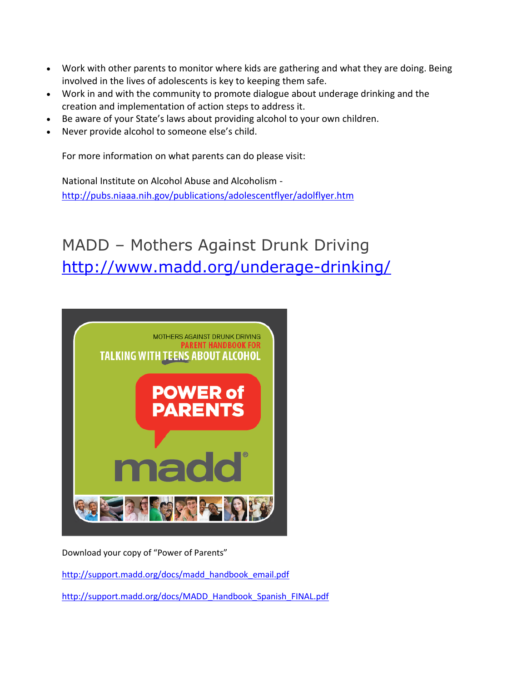- Work with other parents to monitor where kids are gathering and what they are doing. Being involved in the lives of adolescents is key to keeping them safe.
- Work in and with the community to promote dialogue about underage drinking and the creation and implementation of action steps to address it.
- Be aware of your State's laws about providing alcohol to your own children.
- Never provide alcohol to someone else's child.

For more information on what parents can do please visit:

National Institute on Alcohol Abuse and Alcoholism <http://pubs.niaaa.nih.gov/publications/adolescentflyer/adolflyer.htm>

## MADD – Mothers Against Drunk Driving <http://www.madd.org/underage-drinking/>



Download your copy of "Power of Parents"

[http://support.madd.org/docs/madd\\_handbook\\_email.pdf](http://support.madd.org/docs/madd_handbook_email.pdf)

[http://support.madd.org/docs/MADD\\_Handbook\\_Spanish\\_FINAL.pdf](http://support.madd.org/docs/MADD_Handbook_Spanish_FINAL.pdf)